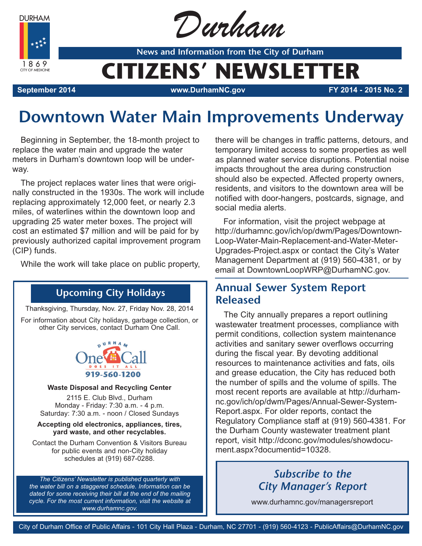**DURHAM** 

1869 CITY OF MEDICINE



**News and Information from the City of Durham**

# **CITIZENS' NEWSLETTER**

**September 2014 www.DurhamNC.gov FY 2014 - 2015 No. 2**

## **Downtown Water Main Improvements Underway**

Beginning in September, the 18-month project to replace the water main and upgrade the water meters in Durham's downtown loop will be underway.

The project replaces water lines that were originally constructed in the 1930s. The work will include replacing approximately 12,000 feet, or nearly 2.3 miles, of waterlines within the downtown loop and upgrading 25 water meter boxes. The project will cost an estimated \$7 million and will be paid for by previously authorized capital improvement program (CIP) funds.

While the work will take place on public property,

### **Upcoming City Holidays**

Thanksgiving, Thursday, Nov. 27, Friday Nov. 28, 2014 For information about City holidays, garbage collection, or other City services, contact Durham One Call.



#### **Waste Disposal and Recycling Center**

2115 E. Club Blvd., Durham Monday - Friday: 7:30 a.m. - 4 p.m. Saturday: 7:30 a.m. - noon / Closed Sundays

#### **Accepting old electronics, appliances, tires, yard waste, and other recyclables.**

Contact the Durham Convention & Visitors Bureau for public events and non-City holiday schedules at (919) 687-0288.

*The Citizens' Newsletter is published quarterly with the water bill on a staggered schedule. Information can be dated for some receiving their bill at the end of the mailing cycle. For the most current information, visit the website at www.durhamnc.gov.*

there will be changes in traffic patterns, detours, and temporary limited access to some properties as well as planned water service disruptions. Potential noise impacts throughout the area during construction should also be expected. Affected property owners, residents, and visitors to the downtown area will be notified with door-hangers, postcards, signage, and social media alerts.

For information, visit the project webpage at http://durhamnc.gov/ich/op/dwm/Pages/Downtown-Loop-Water-Main-Replacement-and-Water-Meter-Upgrades-Project.aspx or contact the City's Water Management Department at (919) 560-4381, or by email at DowntownLoopWRP@DurhamNC.gov.

### **Annual Sewer System Report Released**

The City annually prepares a report outlining wastewater treatment processes, compliance with permit conditions, collection system maintenance activities and sanitary sewer overflows occurring during the fiscal year. By devoting additional resources to maintenance activities and fats, oils and grease education, the City has reduced both the number of spills and the volume of spills. The most recent reports are available at http://durhamnc.gov/ich/op/dwm/Pages/Annual-Sewer-System-Report.aspx. For older reports, contact the Regulatory Compliance staff at (919) 560-4381. For the Durham County wastewater treatment plant report, visit http://dconc.gov/modules/showdocument.aspx?documentid=10328.

## *Subscribe to the City Manager's Report*

www.durhamnc.gov/managersreport